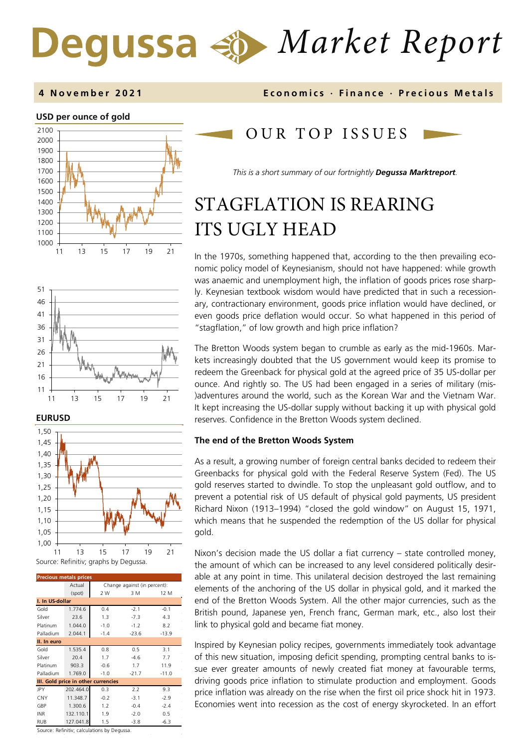# *Market Report* Degussa

### **USD per ounce of gold**





### **EURUSD**



| <b>Precious metals prices</b>       |           |                              |         |         |  |  |  |  |
|-------------------------------------|-----------|------------------------------|---------|---------|--|--|--|--|
|                                     |           |                              |         |         |  |  |  |  |
|                                     | Actual    | Change against (in percent): |         |         |  |  |  |  |
|                                     | (spot)    | 2 W                          | 3 M     | 12 M    |  |  |  |  |
| I. In US-dollar                     |           |                              |         |         |  |  |  |  |
| Gold                                | 1.774.6   | 0.4                          | $-2.1$  | $-0.1$  |  |  |  |  |
| Silver                              | 23.6      | 1.3                          | $-7.3$  | 4.3     |  |  |  |  |
| Platinum                            | 1.044.0   | $-1.0$                       | $-1.2$  | 8.2     |  |  |  |  |
| Palladium                           | 2.044.1   | $-1.4$                       | $-23.6$ | $-13.9$ |  |  |  |  |
| II. In euro                         |           |                              |         |         |  |  |  |  |
| Gold                                | 1.535.4   | 0.8                          | 0.5     | 3.1     |  |  |  |  |
| Silver                              | 20.4      | 1.7                          | $-4.6$  | 7.7     |  |  |  |  |
| Platinum                            | 903.3     | $-0.6$                       | 1.7     | 11.9    |  |  |  |  |
| Palladium                           | 1.769.0   | $-1.0$                       | $-21.7$ | $-11.0$ |  |  |  |  |
| III. Gold price in other currencies |           |                              |         |         |  |  |  |  |
| JPY                                 | 202.464.0 | 0.3                          | 2.2     | 9.3     |  |  |  |  |
| <b>CNY</b>                          | 11.348.7  | $-0.2$                       | $-3.1$  | $-2.9$  |  |  |  |  |
| GBP                                 | 1.300.6   | 1.2                          | $-0.4$  | $-2.4$  |  |  |  |  |
| <b>INR</b>                          | 132.110.1 | 1.9                          | $-2.0$  | 0.5     |  |  |  |  |
| RUB                                 | 127.041.8 | 1.5                          | $-3.8$  | $-6.3$  |  |  |  |  |

Source: Refinitiv; calculations by Degussa.

### **4 November 202 1 Economics · Finance · Precious Metals**

### OUR TOP ISSUE S

*This is a short summary of our fortnightly Degussa Marktreport.* 

# STAGFLATION IS REARING ITS UGLY HEAD

In the 1970s, something happened that, according to the then prevailing economic policy model of Keynesianism, should not have happened: while growth was anaemic and unemployment high, the inflation of goods prices rose sharply. Keynesian textbook wisdom would have predicted that in such a recessionary, contractionary environment, goods price inflation would have declined, or even goods price deflation would occur. So what happened in this period of "stagflation," of low growth and high price inflation?

The Bretton Woods system began to crumble as early as the mid-1960s. Markets increasingly doubted that the US government would keep its promise to redeem the Greenback for physical gold at the agreed price of 35 US-dollar per ounce. And rightly so. The US had been engaged in a series of military (mis- )adventures around the world, such as the Korean War and the Vietnam War. It kept increasing the US-dollar supply without backing it up with physical gold reserves. Confidence in the Bretton Woods system declined.

### **The end of the Bretton Woods System**

As a result, a growing number of foreign central banks decided to redeem their Greenbacks for physical gold with the Federal Reserve System (Fed). The US gold reserves started to dwindle. To stop the unpleasant gold outflow, and to prevent a potential risk of US default of physical gold payments, US president Richard Nixon (1913–1994) "closed the gold window" on August 15, 1971, which means that he suspended the redemption of the US dollar for physical gold.

Nixon's decision made the US dollar a fiat currency – state controlled money, the amount of which can be increased to any level considered politically desirable at any point in time. This unilateral decision destroyed the last remaining elements of the anchoring of the US dollar in physical gold, and it marked the end of the Bretton Woods System. All the other major currencies, such as the British pound, Japanese yen, French franc, German mark, etc., also lost their link to physical gold and became fiat money.

Inspired by Keynesian policy recipes, governments immediately took advantage of this new situation, imposing deficit spending, prompting central banks to issue ever greater amounts of newly created fiat money at favourable terms, driving goods price inflation to stimulate production and employment. Goods price inflation was already on the rise when the first oil price shock hit in 1973. Economies went into recession as the cost of energy skyrocketed. In an effort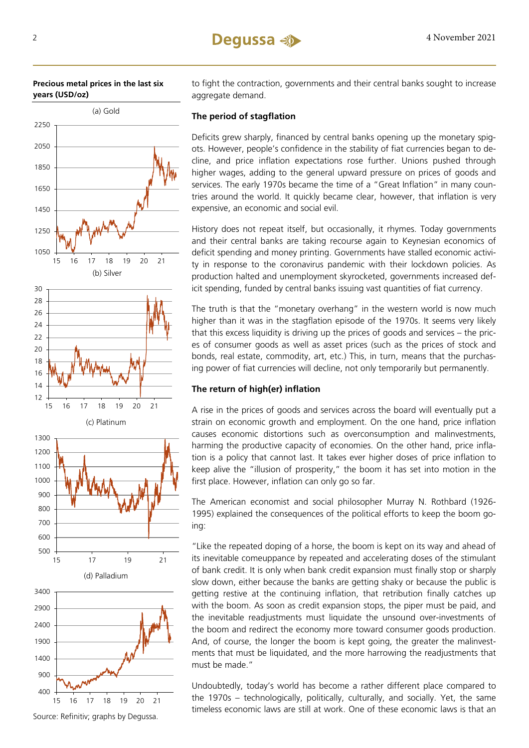



Source: Refinitiv; graphs by Degussa.

to fight the contraction, governments and their central banks sought to increase aggregate demand.

### **The period of stagflation**

Deficits grew sharply, financed by central banks opening up the monetary spigots. However, people's confidence in the stability of fiat currencies began to decline, and price inflation expectations rose further. Unions pushed through higher wages, adding to the general upward pressure on prices of goods and services. The early 1970s became the time of a "Great Inflation" in many countries around the world. It quickly became clear, however, that inflation is very expensive, an economic and social evil.

History does not repeat itself, but occasionally, it rhymes. Today governments and their central banks are taking recourse again to Keynesian economics of deficit spending and money printing. Governments have stalled economic activity in response to the coronavirus pandemic with their lockdown policies. As production halted and unemployment skyrocketed, governments increased deficit spending, funded by central banks issuing vast quantities of fiat currency.

The truth is that the "monetary overhang" in the western world is now much higher than it was in the stagflation episode of the 1970s. It seems very likely that this excess liquidity is driving up the prices of goods and services – the prices of consumer goods as well as asset prices (such as the prices of stock and bonds, real estate, commodity, art, etc.) This, in turn, means that the purchasing power of fiat currencies will decline, not only temporarily but permanently.

### **The return of high(er) inflation**

A rise in the prices of goods and services across the board will eventually put a strain on economic growth and employment. On the one hand, price inflation causes economic distortions such as overconsumption and malinvestments, harming the productive capacity of economies. On the other hand, price inflation is a policy that cannot last. It takes ever higher doses of price inflation to keep alive the "illusion of prosperity," the boom it has set into motion in the first place. However, inflation can only go so far.

The American economist and social philosopher Murray N. Rothbard (1926- 1995) explained the consequences of the political efforts to keep the boom going:

"Like the repeated doping of a horse, the boom is kept on its way and ahead of its inevitable comeuppance by repeated and accelerating doses of the stimulant of bank credit. It is only when bank credit expansion must finally stop or sharply slow down, either because the banks are getting shaky or because the public is getting restive at the continuing inflation, that retribution finally catches up with the boom. As soon as credit expansion stops, the piper must be paid, and the inevitable readjustments must liquidate the unsound over-investments of the boom and redirect the economy more toward consumer goods production. And, of course, the longer the boom is kept going, the greater the malinvestments that must be liquidated, and the more harrowing the readjustments that must be made."

Undoubtedly, today's world has become a rather different place compared to the 1970s – technologically, politically, culturally, and socially. Yet, the same timeless economic laws are still at work. One of these economic laws is that an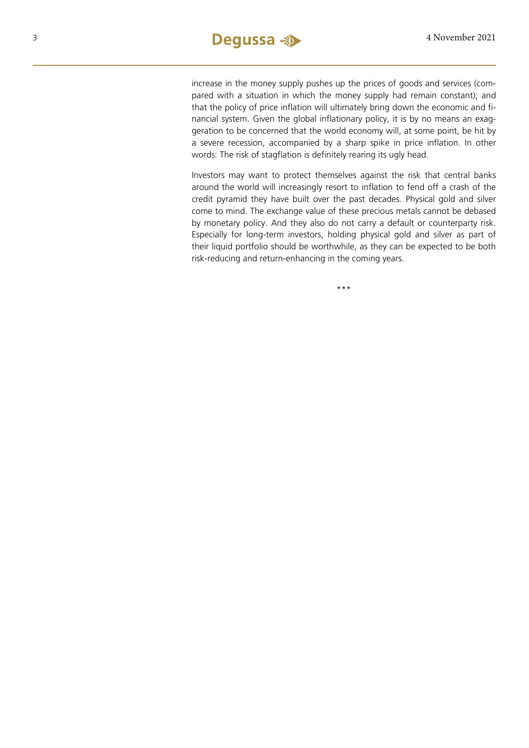increase in the money supply pushes up the prices of goods and services (compared with a situation in which the money supply had remain constant); and that the policy of price inflation will ultimately bring down the economic and financial system. Given the global inflationary policy, it is by no means an exaggeration to be concerned that the world economy will, at some point, be hit by a severe recession, accompanied by a sharp spike in price inflation. In other words: The risk of stagflation is definitely rearing its ugly head.

Investors may want to protect themselves against the risk that central banks around the world will increasingly resort to inflation to fend off a crash of the credit pyramid they have built over the past decades. Physical gold and silver come to mind. The exchange value of these precious metals cannot be debased by monetary policy. And they also do not carry a default or counterparty risk. Especially for long-term investors, holding physical gold and silver as part of their liquid portfolio should be worthwhile, as they can be expected to be both risk-reducing and return-enhancing in the coming years.

\*\*\*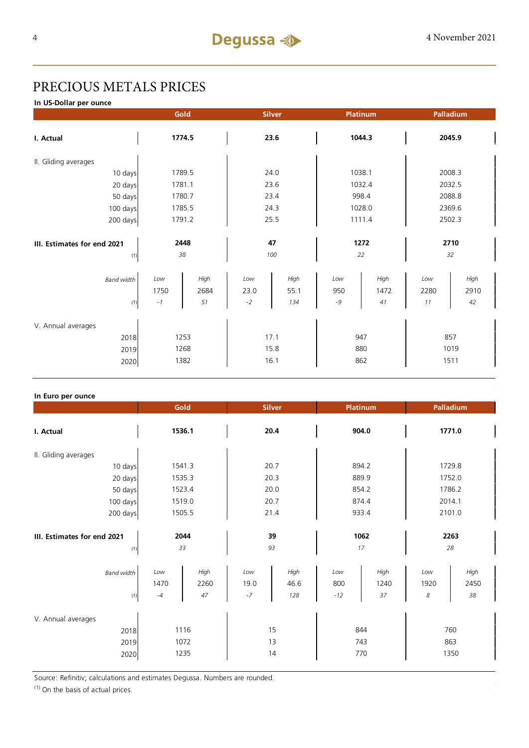## PRECIOUS METALS PRICES

**In US-Dollar per ounce**

|                                    |             | Gold         | <b>Silver</b> |              | Platinum   |              |             | Palladium    |  |
|------------------------------------|-------------|--------------|---------------|--------------|------------|--------------|-------------|--------------|--|
| I. Actual                          |             | 1774.5       | 23.6          |              | 1044.3     |              | 2045.9      |              |  |
| II. Gliding averages               |             |              |               |              |            |              |             |              |  |
| 10 days                            |             | 1789.5       | 24.0          |              | 1038.1     |              | 2008.3      |              |  |
| 20 days                            |             | 1781.1       |               | 23.6         |            | 1032.4       |             | 2032.5       |  |
| 50 days                            |             | 1780.7       |               | 23.4         |            | 998.4        |             | 2088.8       |  |
| 100 days                           |             | 1785.5       |               | 24.3         |            | 1028.0       |             | 2369.6       |  |
| 200 days                           |             | 1791.2       |               | 25.5         |            | 1111.4       |             | 2502.3       |  |
| III. Estimates for end 2021<br>(1) |             | 2448<br>38   |               | 47<br>100    |            | 1272<br>22   |             | 2710<br>32   |  |
| <b>Band width</b>                  | Low<br>1750 | High<br>2684 | Low<br>23.0   | High<br>55.1 | Low<br>950 | High<br>1472 | Low<br>2280 | High<br>2910 |  |
| (1)                                | $-1$        | 51           | $-2$          | 134          | $-9$       | 41           | 11          | 42           |  |
| V. Annual averages<br>2018<br>2019 |             | 1253<br>1268 |               | 17.1<br>15.8 | 947        | 880          |             | 857<br>1019  |  |
| 2020                               |             | 1382         |               | 16.1         | 862        |              |             | 1511         |  |

### **In Euro per ounce**

|                                            | Gold                                      | <b>Silver</b>                              | <b>Platinum</b>                           | Palladium                              |  |
|--------------------------------------------|-------------------------------------------|--------------------------------------------|-------------------------------------------|----------------------------------------|--|
| I. Actual                                  | 1536.1                                    | 20.4                                       | 904.0                                     | 1771.0                                 |  |
| II. Gliding averages                       |                                           |                                            |                                           |                                        |  |
| 10 days                                    | 1541.3                                    | 20.7                                       | 894.2                                     | 1729.8                                 |  |
| 20 days                                    | 1535.3                                    | 20.3                                       | 889.9                                     | 1752.0                                 |  |
| 50 days                                    | 1523.4                                    | 20.0                                       | 854.2                                     | 1786.2                                 |  |
| 100 days                                   | 1519.0                                    | 20.7                                       | 874.4                                     | 2014.1                                 |  |
| 200 days                                   | 1505.5                                    | 21.4                                       | 933.4                                     | 2101.0                                 |  |
| III. Estimates for end 2021<br>(1)         | 2044<br>33                                | 39<br>93                                   | 1062<br>17                                | 2263<br>28                             |  |
| <b>Band width</b><br>(1)                   | High<br>Low<br>1470<br>2260<br>47<br>$-4$ | Low<br>High<br>19.0<br>46.6<br>$-7$<br>128 | High<br>Low<br>800<br>1240<br>37<br>$-12$ | High<br>Low<br>1920<br>2450<br>38<br>8 |  |
| V. Annual averages<br>2018<br>2019<br>2020 | 1116<br>1072<br>1235                      | 15<br>13<br>14                             | 844<br>743<br>770                         | 760<br>863<br>1350                     |  |

Source: Refinitiv; calculations and estimates Degussa. Numbers are rounded.

 $(1)$  On the basis of actual prices.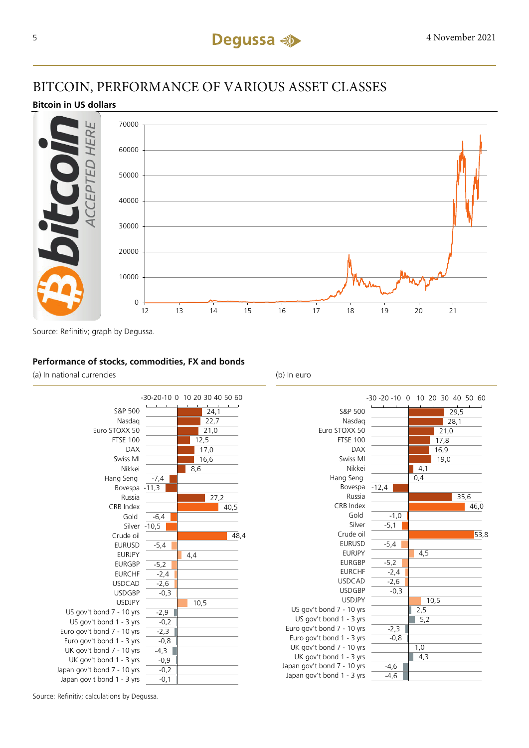## BITCOIN, PERFORMANCE OF VARIOUS ASSET CLASSES

### **Bitcoin in US dollars**



Source: Refinitiv; graph by Degussa.

### **Performance of stocks, commodities, FX and bonds**

(a) In national currencies (b) In euro



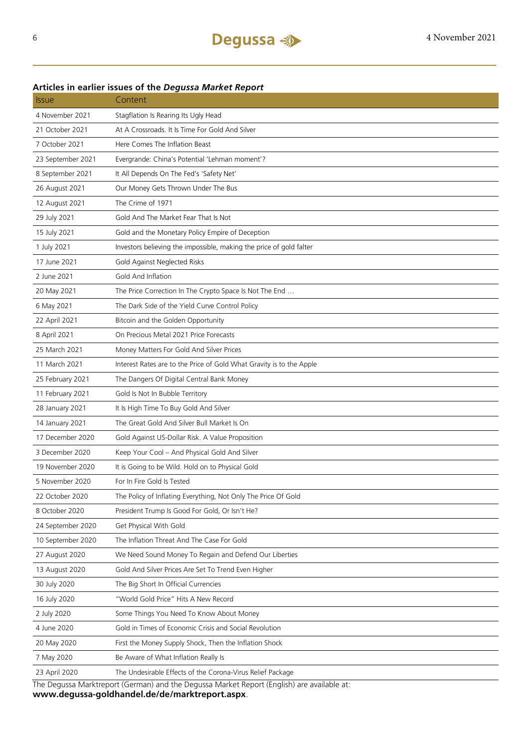### Issue Content 4 November 2021 Stagflation Is Rearing Its Ugly Head 21 October 2021 At A Crossroads. It Is Time For Gold And Silver 7 October 2021 Here Comes The Inflation Beast 23 September 2021 Evergrande: China's Potential 'Lehman moment'? 8 September 2021 It All Depends On The Fed's 'Safety Net' 26 August 2021 Our Money Gets Thrown Under The Bus 12 August 2021 The Crime of 1971 29 July 2021 Gold And The Market Fear That Is Not 15 July 2021 Gold and the Monetary Policy Empire of Deception 1 July 2021 Investors believing the impossible, making the price of gold falter 17 June 2021 Gold Against Neglected Risks 2 June 2021 Gold And Inflation 20 May 2021 The Price Correction In The Crypto Space Is Not The End .. 6 May 2021 The Dark Side of the Yield Curve Control Policy 22 April 2021 Bitcoin and the Golden Opportunity 8 April 2021 On Precious Metal 2021 Price Forecasts 25 March 2021 Money Matters For Gold And Silver Prices 11 March 2021 Interest Rates are to the Price of Gold What Gravity is to the Apple 25 February 2021 The Dangers Of Digital Central Bank Money 11 February 2021 Gold Is Not In Bubble Territory 28 January 2021 It Is High Time To Buy Gold And Silver 14 January 2021 The Great Gold And Silver Bull Market Is On 17 December 2020 Gold Against US-Dollar Risk. A Value Proposition 3 December 2020 Keep Your Cool – And Physical Gold And Silver 19 November 2020 It is Going to be Wild. Hold on to Physical Gold 5 November 2020 For In Fire Gold Is Tested 22 October 2020 The Policy of Inflating Everything, Not Only The Price Of Gold 8 October 2020 President Trump Is Good For Gold, Or Isn't He? 24 September 2020 Get Physical With Gold 10 September 2020 The Inflation Threat And The Case For Gold 27 August 2020 We Need Sound Money To Regain and Defend Our Liberties 13 August 2020 Gold And Silver Prices Are Set To Trend Even Higher 30 July 2020 The Big Short In Official Currencies 16 July 2020 "World Gold Price" Hits A New Record 2 July 2020 Some Things You Need To Know About Money 4 June 2020 Gold in Times of Economic Crisis and Social Revolution 20 May 2020 First the Money Supply Shock, Then the Inflation Shock 7 May 2020 Be Aware of What Inflation Really Is 23 April 2020 The Undesirable Effects of the Corona-Virus Relief Package The Degussa Marktreport (German) and the Degussa Market Report (English) are available at:

### **Articles in earlier issues of the** *Degussa Market Report*

**www.degussa-goldhandel.de/de/marktreport.aspx**.